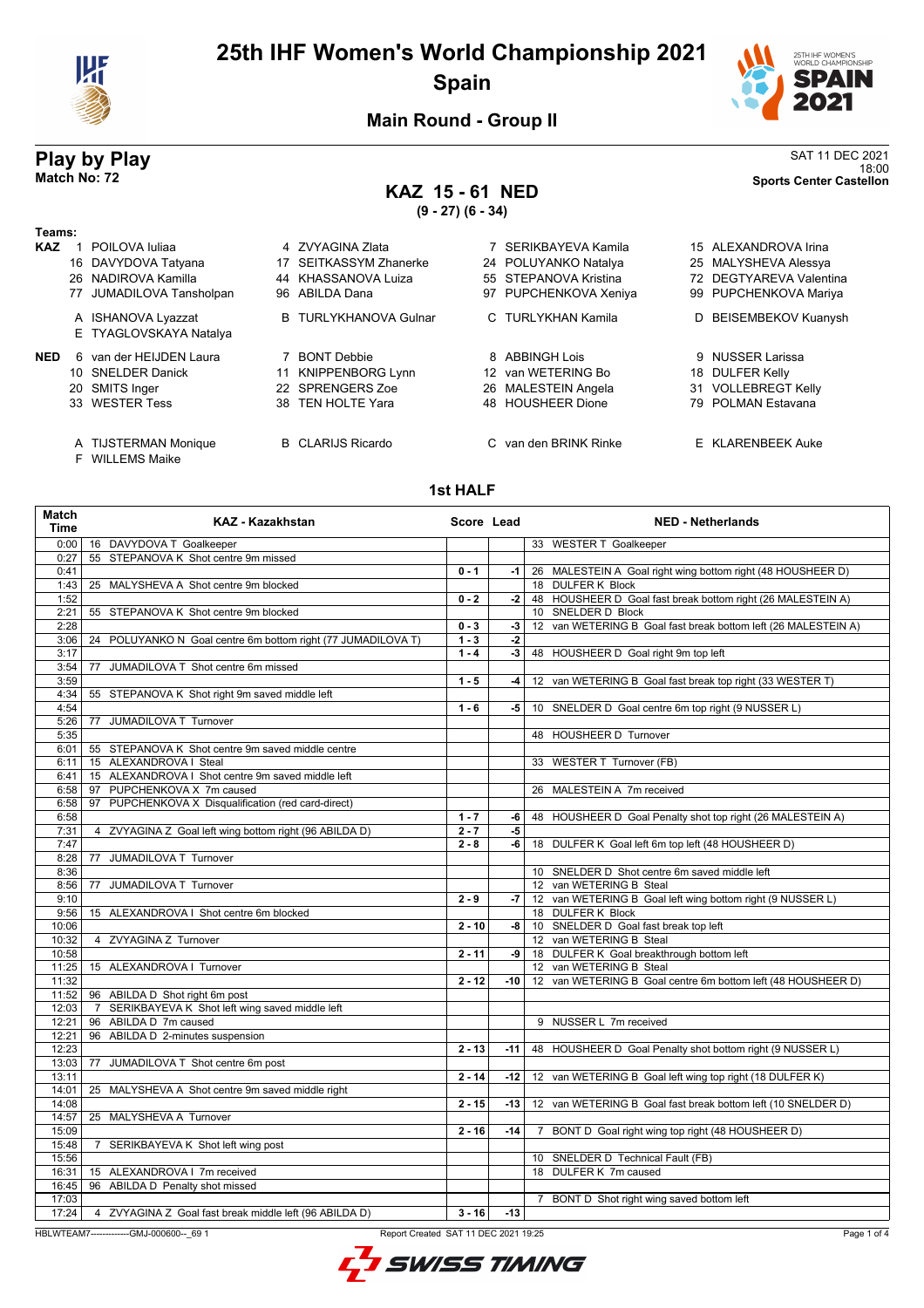

## **25th IHF Women's World Championship 2021 Spain**



**Main Round - Group II**

## **KAZ 15 - 61 NED**

**(9 - 27) (6 - 34)**

**Play by Play**<br>Match No: 72<br>Shorts Center Castellon 18:00 **Match No: 72 Sports Center Castellon**

#### **Teams: KAZ** 1 POILOVA Iuliaa **4 ZVYAGINA Zlata** 15 ALEXANDROVA Irina 16 DAVYDOVA Tatyana 17 SEITKASSYM Zhanerke 24 POLUYANKO Natalya 25 MALYSHEVA Alessya 26 NADIROVA Kamilla 44 KHASSANOVA Luiza 55 STEPANOVA Kristina 72 DEGTYAREVA Valentina 77 JUMADILOVA Tansholpan 96 ABILDA Dana 97 PUPCHENKOVA Xeniya 99 PUPCHENKOVA Mariya A ISHANOVA Lyazzat B TURLYKHANOVA Gulnar C TURLYKHAN Kamila D BEISEMBEKOV Kuanysh E TYAGLOVSKAYA Natalya **NED** 6 van der HEIJDEN Laura **7 BONT Debbie 19 8 ABBINGH Lois** 9 NUSSER Larissa 10 SNELDER Danick 11 KNIPPENBORG Lynn 12 van WETERING Bo 18 DULFER Kelly 20 SMITS Inger 22 SPRENGERS Zoe 26 MALESTEIN Angela 21 VOLLEBREGT Kelly<br>20 SMITS Inger 22 SPRENGERS Zoe 26 MALESTEIN Angela 21 VOLLEBREGT Kelly 48 HOUSHEER Dione A TIJSTERMAN Monique B CLARIJS Ricardo C van den BRINK Rinke E KLARENBEEK Auke

- 
- F WILLEMS Maike

#### **1st HALF**

| <b>Match</b><br>Time | <b>KAZ - Kazakhstan</b>                                      | Score Lead |       | <b>NED - Netherlands</b>                                         |
|----------------------|--------------------------------------------------------------|------------|-------|------------------------------------------------------------------|
| 0:00                 | 16 DAVYDOVA T Goalkeeper                                     |            |       | 33 WESTER T Goalkeeper                                           |
| 0:27                 | 55 STEPANOVA K Shot centre 9m missed                         |            |       |                                                                  |
| 0:41                 |                                                              | $0 - 1$    |       | -1   26 MALESTEIN A Goal right wing bottom right (48 HOUSHEER D) |
| 1:43                 | 25 MALYSHEVA A Shot centre 9m blocked                        |            |       | 18 DULFER K Block                                                |
| 1:52                 |                                                              | $0 - 2$    | $-2$  | 48 HOUSHEER D Goal fast break bottom right (26 MALESTEIN A)      |
| 2:21                 | 55 STEPANOVA K Shot centre 9m blocked                        |            |       | 10 SNELDER D Block                                               |
| 2:28                 |                                                              | $0 - 3$    | -3    | 12 van WETERING B Goal fast break bottom left (26 MALESTEIN A)   |
| 3:06                 | 24 POLUYANKO N Goal centre 6m bottom right (77 JUMADILOVA T) | $1 - 3$    | $-2$  |                                                                  |
| 3:17                 |                                                              | $1 - 4$    |       | -3   48 HOUSHEER D Goal right 9m top left                        |
| 3:54                 | JUMADILOVA T Shot centre 6m missed<br>77                     |            |       |                                                                  |
| 3:59                 |                                                              | $1 - 5$    | $-4$  | 12 van WETERING B Goal fast break top right (33 WESTER T)        |
| 4:34                 | 55 STEPANOVA K Shot right 9m saved middle left               |            |       |                                                                  |
| 4:54                 |                                                              | $1 - 6$    | -5    | 10 SNELDER D Goal centre 6m top right (9 NUSSER L)               |
| 5:26                 | JUMADILOVA T Turnover<br>77                                  |            |       |                                                                  |
| 5:35                 |                                                              |            |       | 48 HOUSHEER D Turnover                                           |
| 6:01                 | 55 STEPANOVA K Shot centre 9m saved middle centre            |            |       |                                                                  |
| 6:11                 | 15 ALEXANDROVA I Steal                                       |            |       | 33 WESTER T Turnover (FB)                                        |
| 6:41                 | 15 ALEXANDROVA I Shot centre 9m saved middle left            |            |       |                                                                  |
| 6:58                 | 97 PUPCHENKOVA X 7m caused                                   |            |       | 26 MALESTEIN A 7m received                                       |
| 6:58                 | 97 PUPCHENKOVA X Disqualification (red card-direct)          |            |       |                                                                  |
| 6:58                 |                                                              | $1 - 7$    | -6    | 48 HOUSHEER D Goal Penalty shot top right (26 MALESTEIN A)       |
| 7:31                 | 4 ZVYAGINA Z Goal left wing bottom right (96 ABILDA D)       | $2 - 7$    | -5    |                                                                  |
| 7:47                 |                                                              | $2 - 8$    | -6    | 18 DULFER K Goal left 6m top left (48 HOUSHEER D)                |
| 8:28                 | JUMADILOVA T Turnover<br>77                                  |            |       |                                                                  |
| 8:36                 |                                                              |            |       | 10 SNELDER D Shot centre 6m saved middle left                    |
| 8:56                 | JUMADILOVA T Turnover<br>77                                  |            |       | 12 van WETERING B Steal                                          |
| 9:10                 |                                                              | $2 - 9$    | -7    | 12 van WETERING B Goal left wing bottom right (9 NUSSER L)       |
| 9:56                 | 15 ALEXANDROVA I Shot centre 6m blocked                      |            |       | 18 DULFER K Block                                                |
| 10:06                |                                                              | $2 - 10$   | -8    | 10 SNELDER D Goal fast break top left                            |
| 10:32                | 4 ZVYAGINA Z Turnover                                        |            |       | 12 van WETERING B Steal                                          |
| 10:58                |                                                              | $2 - 11$   | -9    | 18 DULFER K Goal breakthrough bottom left                        |
| 11:25                | 15 ALEXANDROVA I Turnover                                    |            |       | 12 van WETERING B Steal                                          |
| 11:32                |                                                              | $2 - 12$   | -10   | 12 van WETERING B Goal centre 6m bottom left (48 HOUSHEER D)     |
| 11:52                | 96 ABILDA D Shot right 6m post                               |            |       |                                                                  |
| 12:03                | 7 SERIKBAYEVA K Shot left wing saved middle left             |            |       |                                                                  |
| 12:21                | 96 ABILDA D 7m caused                                        |            |       | 9 NUSSER L 7m received                                           |
| 12:21                | 96 ABILDA D 2-minutes suspension                             |            |       |                                                                  |
| 12:23                |                                                              | $2 - 13$   | $-11$ | 48 HOUSHEER D Goal Penalty shot bottom right (9 NUSSER L)        |
| 13:03                | JUMADILOVA T Shot centre 6m post<br>77                       |            |       |                                                                  |
| 13:11                |                                                              | $2 - 14$   | $-12$ | 12 van WETERING B Goal left wing top right (18 DULFER K)         |
|                      |                                                              |            |       |                                                                  |
| 14:01                | 25 MALYSHEVA A Shot centre 9m saved middle right             |            |       |                                                                  |
| 14:08                |                                                              | $2 - 15$   | -13   | 12 van WETERING B Goal fast break bottom left (10 SNELDER D)     |
| 14:57                | 25 MALYSHEVA A Turnover                                      |            |       |                                                                  |
| 15:09                |                                                              | $2 - 16$   | $-14$ | BONT D Goal right wing top right (48 HOUSHEER D)                 |
| 15:48                | SERIKBAYEVA K Shot left wing post<br>$7\overline{ }$         |            |       |                                                                  |
| 15:56                |                                                              |            |       | 10 SNELDER D Technical Fault (FB)                                |
| 16:31                | 15 ALEXANDROVA I 7m received                                 |            |       | 18 DULFER K 7m caused                                            |
| 16:45                | 96 ABILDA D Penalty shot missed                              |            |       |                                                                  |
| 17:03                |                                                              |            |       | 7 BONT D Shot right wing saved bottom left                       |
| 17:24                | 4 ZVYAGINA Z Goal fast break middle left (96 ABILDA D)       | $3 - 16$   | $-13$ |                                                                  |

HBLWTEAM7-------------GMJ-000600--\_69 1 Report Created SAT 11 DEC 2021 19:25

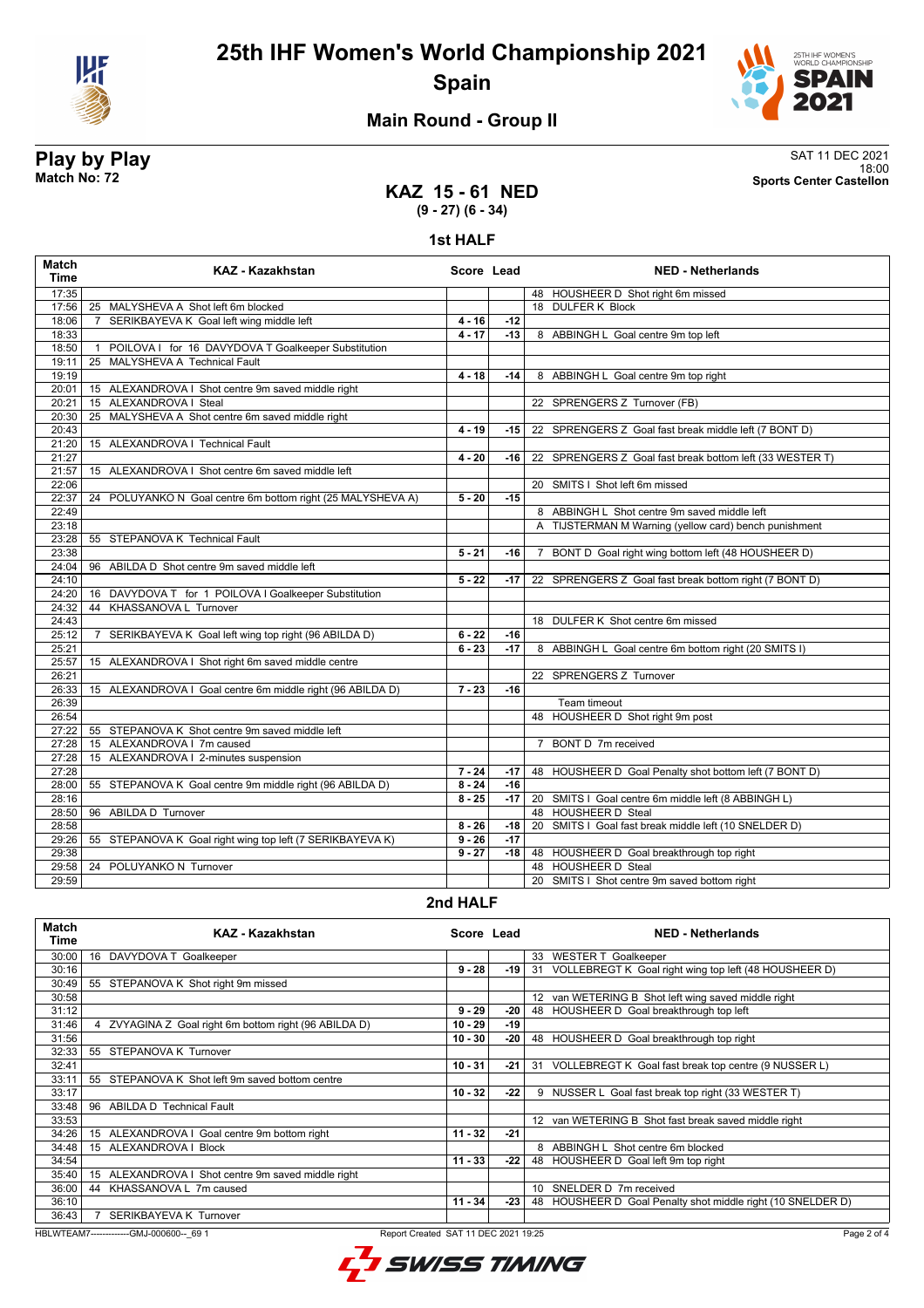



### **Main Round - Group II**

**Play by Play**<br>Match No: 72<br>Sports Center Castellon 18:00 **Match No: 72 Sports Center Castellon**

#### **KAZ 15 - 61 NED (9 - 27) (6 - 34)**

**1st HALF**

| <b>Match</b><br><b>Time</b> | <b>KAZ - Kazakhstan</b>                                             | Score Lead |       | <b>NED - Netherlands</b>                                 |
|-----------------------------|---------------------------------------------------------------------|------------|-------|----------------------------------------------------------|
| 17:35                       |                                                                     |            |       | 48 HOUSHEER D Shot right 6m missed                       |
| 17:56                       | 25 MALYSHEVA A Shot left 6m blocked                                 |            |       | 18 DULFER K Block                                        |
| 18:06                       | SERIKBAYEVA K Goal left wing middle left<br>7                       | $4 - 16$   | $-12$ |                                                          |
| 18:33                       |                                                                     | $4 - 17$   | $-13$ | 8 ABBINGH L Goal centre 9m top left                      |
| 18:50                       | POILOVA I for 16 DAVYDOVA T Goalkeeper Substitution<br>$\mathbf{1}$ |            |       |                                                          |
| 19:11                       | 25 MALYSHEVA A Technical Fault                                      |            |       |                                                          |
| 19:19                       |                                                                     | $4 - 18$   | $-14$ | 8 ABBINGH L Goal centre 9m top right                     |
| 20:01                       | 15 ALEXANDROVA I Shot centre 9m saved middle right                  |            |       |                                                          |
| 20:21                       | 15 ALEXANDROVA I Steal                                              |            |       | 22 SPRENGERS Z Turnover (FB)                             |
| 20:30                       | 25 MALYSHEVA A Shot centre 6m saved middle right                    |            |       |                                                          |
| 20:43                       |                                                                     | $4 - 19$   | -15   | 22 SPRENGERS Z Goal fast break middle left (7 BONT D)    |
| 21:20                       | 15 ALEXANDROVA   Technical Fault                                    |            |       |                                                          |
| 21:27                       |                                                                     | $4 - 20$   | -16 l | 22 SPRENGERS Z Goal fast break bottom left (33 WESTER T) |
| 21:57                       | 15 ALEXANDROVA I Shot centre 6m saved middle left                   |            |       |                                                          |
| 22:06                       |                                                                     |            |       | 20 SMITS I Shot left 6m missed                           |
| 22:37                       | POLUYANKO N Goal centre 6m bottom right (25 MALYSHEVA A)<br>24      | $5 - 20$   | $-15$ |                                                          |
| 22:49                       |                                                                     |            |       | 8 ABBINGH L Shot centre 9m saved middle left             |
| 23:18                       |                                                                     |            |       | A TIJSTERMAN M Warning (yellow card) bench punishment    |
| 23:28                       | 55 STEPANOVA K Technical Fault                                      |            |       |                                                          |
| 23:38                       |                                                                     | $5 - 21$   | -16   | 7 BONT D Goal right wing bottom left (48 HOUSHEER D)     |
| 24:04                       | 96 ABILDA D Shot centre 9m saved middle left                        |            |       |                                                          |
| 24:10                       |                                                                     | $5 - 22$   | $-17$ | 22 SPRENGERS Z Goal fast break bottom right (7 BONT D)   |
| 24:20                       | 16 DAVYDOVA T for 1 POILOVA I Goalkeeper Substitution               |            |       |                                                          |
| 24:32                       | KHASSANOVA L Turnover<br>44                                         |            |       |                                                          |
| 24:43                       |                                                                     |            |       | 18 DULFER K Shot centre 6m missed                        |
| 25:12                       | SERIKBAYEVA K Goal left wing top right (96 ABILDA D)<br>7           | $6 - 22$   | -16   |                                                          |
| 25:21                       |                                                                     | $6 - 23$   | $-17$ | 8 ABBINGH L Goal centre 6m bottom right (20 SMITS I)     |
| 25:57                       | 15 ALEXANDROVA I Shot right 6m saved middle centre                  |            |       |                                                          |
| 26:21                       |                                                                     |            |       | 22 SPRENGERS Z Turnover                                  |
| 26:33                       | 15 ALEXANDROVA I Goal centre 6m middle right (96 ABILDA D)          | $7 - 23$   | $-16$ |                                                          |
| 26:39                       |                                                                     |            |       | Team timeout                                             |
| 26:54                       |                                                                     |            |       | 48 HOUSHEER D Shot right 9m post                         |
| 27:22                       | 55 STEPANOVA K Shot centre 9m saved middle left                     |            |       |                                                          |
| 27:28                       | 15 ALEXANDROVA I 7m caused                                          |            |       | 7 BONT D 7m received                                     |
| 27:28                       | 15 ALEXANDROVA   2-minutes suspension                               |            |       |                                                          |
| 27:28                       |                                                                     | $7 - 24$   | $-17$ | 48 HOUSHEER D Goal Penalty shot bottom left (7 BONT D)   |
| 28:00                       | 55 STEPANOVA K Goal centre 9m middle right (96 ABILDA D)            | $8 - 24$   | $-16$ |                                                          |
| 28:16                       |                                                                     | $8 - 25$   | $-17$ | 20 SMITS I Goal centre 6m middle left (8 ABBINGH L)      |
| 28:50                       | 96 ABILDA D Turnover                                                |            |       | 48 HOUSHEER D Steal                                      |
| 28:58                       |                                                                     | $8 - 26$   | -18 l | 20 SMITS I Goal fast break middle left (10 SNELDER D)    |
| 29:26                       | 55 STEPANOVA K Goal right wing top left (7 SERIKBAYEVA K)           | $9 - 26$   | $-17$ |                                                          |
| 29:38                       |                                                                     | $9 - 27$   | $-18$ | 48 HOUSHEER D Goal breakthrough top right                |
| 29:58                       | 24 POLUYANKO N Turnover                                             |            |       | 48 HOUSHEER D Steal                                      |
| 29:59                       |                                                                     |            |       | 20 SMITS I Shot centre 9m saved bottom right             |

### **2nd HALF**

| <b>Match</b><br>Time                                                                           | KAZ - Kazakhstan                                      | Score Lead |       |                 | <b>NED - Netherlands</b>                                    |
|------------------------------------------------------------------------------------------------|-------------------------------------------------------|------------|-------|-----------------|-------------------------------------------------------------|
| 30:00                                                                                          | 16 DAVYDOVA T Goalkeeper                              |            |       |                 | 33 WESTER T Goalkeeper                                      |
| 30:16                                                                                          |                                                       | $9 - 28$   | -19   |                 | 31 VOLLEBREGT K Goal right wing top left (48 HOUSHEER D)    |
| 30:49                                                                                          | 55 STEPANOVA K Shot right 9m missed                   |            |       |                 |                                                             |
| 30:58                                                                                          |                                                       |            |       |                 | 12 van WETERING B Shot left wing saved middle right         |
| 31:12                                                                                          |                                                       | $9 - 29$   | -20   |                 | 48 HOUSHEER D Goal breakthrough top left                    |
| 31:46                                                                                          | ZVYAGINA Z Goal right 6m bottom right (96 ABILDA D)   | $10 - 29$  | -19   |                 |                                                             |
| 31:56                                                                                          |                                                       | $10 - 30$  | -20   |                 | 48 HOUSHEER D Goal breakthrough top right                   |
| 32:33                                                                                          | 55 STEPANOVA K Turnover                               |            |       |                 |                                                             |
| 32:41                                                                                          |                                                       | $10 - 31$  | $-21$ |                 | 31 VOLLEBREGT K Goal fast break top centre (9 NUSSER L)     |
| 33:11                                                                                          | 55 STEPANOVA K Shot left 9m saved bottom centre       |            |       |                 |                                                             |
| 33:17                                                                                          |                                                       | $10 - 32$  | $-22$ | 9               | NUSSER L Goal fast break top right (33 WESTER T)            |
| 33:48                                                                                          | 96<br>ABILDA D Technical Fault                        |            |       |                 |                                                             |
| 33:53                                                                                          |                                                       |            |       |                 | 12 van WETERING B Shot fast break saved middle right        |
| 34:26                                                                                          | 15 ALEXANDROVA I Goal centre 9m bottom right          | $11 - 32$  | -21   |                 |                                                             |
| 34:48                                                                                          | 15 ALEXANDROVA I Block                                |            |       |                 | 8 ABBINGH L Shot centre 6m blocked                          |
| 34:54                                                                                          |                                                       | $11 - 33$  | -22   |                 | 48 HOUSHEER D Goal left 9m top right                        |
| 35:40                                                                                          | ALEXANDROVA I Shot centre 9m saved middle right<br>15 |            |       |                 |                                                             |
| 36:00                                                                                          | KHASSANOVA L 7m caused<br>44                          |            |       | 10 <sup>1</sup> | SNELDER D 7m received                                       |
| 36:10                                                                                          |                                                       | $11 - 34$  | $-23$ |                 | 48 HOUSHEER D Goal Penalty shot middle right (10 SNELDER D) |
| 36:43                                                                                          | <b>SERIKBAYEVA K Turnover</b>                         |            |       |                 |                                                             |
| HBLWTEAM7-------------GMJ-000600-- 69 1<br>Report Created SAT 11 DEC 2021 19:25<br>Page 2 of 4 |                                                       |            |       |                 |                                                             |

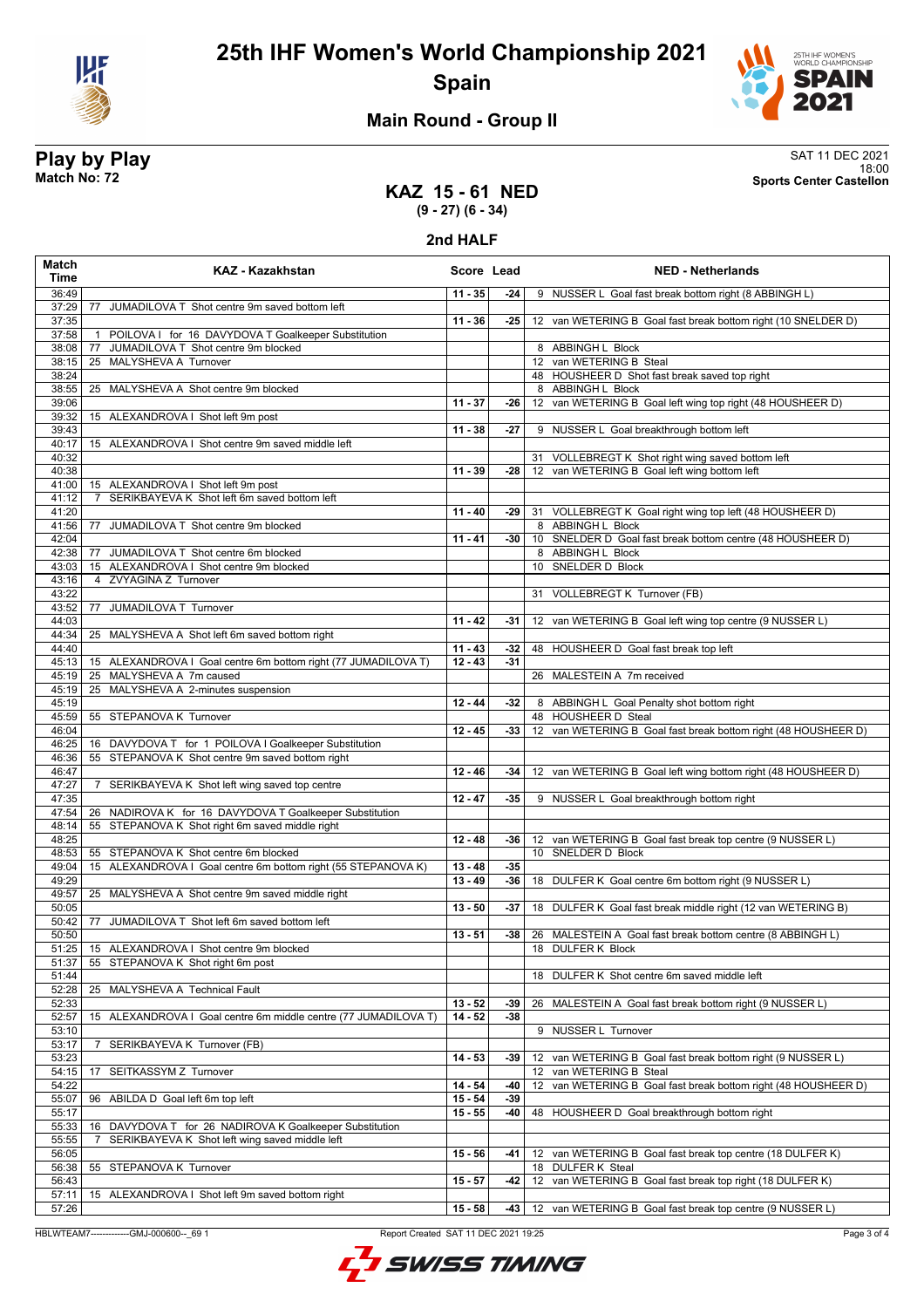



### **Main Round - Group II**

**Play by Play**<br>Match No: 72<br>Sports Center Castellon 18:00 **Match No: 72 Sports Center Castellon**

### **KAZ 15 - 61 NED (9 - 27) (6 - 34)**

**2nd HALF**

| Match<br>Time  | <b>KAZ - Kazakhstan</b>                                                                                    | Score Lead |       | <b>NED - Netherlands</b>                                                        |
|----------------|------------------------------------------------------------------------------------------------------------|------------|-------|---------------------------------------------------------------------------------|
| 36:49          |                                                                                                            | $11 - 35$  | -24   | 9 NUSSER L Goal fast break bottom right (8 ABBINGH L)                           |
| 37:29          | 77 JUMADILOVA T Shot centre 9m saved bottom left                                                           |            |       |                                                                                 |
| 37:35          |                                                                                                            | $11 - 36$  | $-25$ | 12 van WETERING B Goal fast break bottom right (10 SNELDER D)                   |
| 37:58          | POILOVA I for 16 DAVYDOVA T Goalkeeper Substitution<br>$\mathbf{1}$                                        |            |       |                                                                                 |
| 38:08          | JUMADILOVA T Shot centre 9m blocked<br>77                                                                  |            |       | 8 ABBINGH L Block                                                               |
| 38:15          | 25 MALYSHEVA A Turnover                                                                                    |            |       | 12 van WETERING B Steal                                                         |
| 38:24          |                                                                                                            |            |       | 48 HOUSHEER D Shot fast break saved top right                                   |
| 38:55<br>39:06 | 25 MALYSHEVA A Shot centre 9m blocked                                                                      | $11 - 37$  | $-26$ | 8 ABBINGH L Block<br>12 van WETERING B Goal left wing top right (48 HOUSHEER D) |
| 39:32          | 15 ALEXANDROVA I Shot left 9m post                                                                         |            |       |                                                                                 |
| 39:43          |                                                                                                            | $11 - 38$  | $-27$ | 9 NUSSER L Goal breakthrough bottom left                                        |
| 40:17          | 15 ALEXANDROVA I Shot centre 9m saved middle left                                                          |            |       |                                                                                 |
| 40:32          |                                                                                                            |            |       | 31 VOLLEBREGT K Shot right wing saved bottom left                               |
| 40:38          |                                                                                                            | $11 - 39$  | -28   | 12 van WETERING B Goal left wing bottom left                                    |
| 41:00          | 15 ALEXANDROVA I Shot left 9m post                                                                         |            |       |                                                                                 |
| 41:12          | 7 SERIKBAYEVA K Shot left 6m saved bottom left                                                             |            |       |                                                                                 |
| 41:20          |                                                                                                            | $11 - 40$  | $-29$ | 31 VOLLEBREGT K Goal right wing top left (48 HOUSHEER D)                        |
| 41:56          | JUMADILOVA T Shot centre 9m blocked<br>77                                                                  |            |       | 8 ABBINGH L Block                                                               |
| 42:04          |                                                                                                            | $11 - 41$  | -30   | 10 SNELDER D Goal fast break bottom centre (48 HOUSHEER D)                      |
| 42:38          | 77 JUMADILOVA T Shot centre 6m blocked                                                                     |            |       | 8 ABBINGH L Block                                                               |
| 43:03          | 15 ALEXANDROVA I Shot centre 9m blocked                                                                    |            |       | 10 SNELDER D Block                                                              |
| 43:16          | 4 ZVYAGINA Z Turnover                                                                                      |            |       |                                                                                 |
| 43:22          | JUMADILOVA T Turnover                                                                                      |            |       | 31 VOLLEBREGT K Turnover (FB)                                                   |
| 43:52<br>44:03 | 77                                                                                                         | $11 - 42$  | $-31$ | 12 van WETERING B Goal left wing top centre (9 NUSSER L)                        |
| 44:34          | 25 MALYSHEVA A Shot left 6m saved bottom right                                                             |            |       |                                                                                 |
| 44:40          |                                                                                                            | $11 - 43$  | $-32$ | 48 HOUSHEER D Goal fast break top left                                          |
| 45:13          | 15 ALEXANDROVA I Goal centre 6m bottom right (77 JUMADILOVA T)                                             | $12 - 43$  | $-31$ |                                                                                 |
| 45:19          | 25 MALYSHEVA A 7m caused                                                                                   |            |       | 26 MALESTEIN A 7m received                                                      |
| 45:19          | 25 MALYSHEVA A 2-minutes suspension                                                                        |            |       |                                                                                 |
| 45:19          |                                                                                                            | $12 - 44$  | $-32$ | 8 ABBINGH L Goal Penalty shot bottom right                                      |
| 45:59          | 55 STEPANOVA K Turnover                                                                                    |            |       | 48 HOUSHEER D Steal                                                             |
| 46:04          |                                                                                                            | $12 - 45$  | $-33$ | 12 van WETERING B Goal fast break bottom right (48 HOUSHEER D)                  |
| 46:25          | 16 DAVYDOVA T for 1 POILOVA I Goalkeeper Substitution                                                      |            |       |                                                                                 |
| 46:36          | 55 STEPANOVA K Shot centre 9m saved bottom right                                                           |            |       |                                                                                 |
| 46:47          |                                                                                                            | $12 - 46$  | -34   | 12 van WETERING B Goal left wing bottom right (48 HOUSHEER D)                   |
| 47:27          | SERIKBAYEVA K Shot left wing saved top centre<br>$\overline{7}$                                            |            |       |                                                                                 |
| 47:35          |                                                                                                            | $12 - 47$  | $-35$ | 9 NUSSER L Goal breakthrough bottom right                                       |
| 47:54          | 26 NADIROVA K for 16 DAVYDOVA T Goalkeeper Substitution<br>55 STEPANOVA K Shot right 6m saved middle right |            |       |                                                                                 |
| 48:14<br>48:25 |                                                                                                            | $12 - 48$  | -36   | 12 van WETERING B Goal fast break top centre (9 NUSSER L)                       |
| 48:53          | 55 STEPANOVA K Shot centre 6m blocked                                                                      |            |       | 10 SNELDER D Block                                                              |
| 49:04          | 15 ALEXANDROVA I Goal centre 6m bottom right (55 STEPANOVA K)                                              | $13 - 48$  | $-35$ |                                                                                 |
| 49:29          |                                                                                                            | $13 - 49$  | $-36$ | 18 DULFER K Goal centre 6m bottom right (9 NUSSER L)                            |
| 49:57          | 25 MALYSHEVA A Shot centre 9m saved middle right                                                           |            |       |                                                                                 |
| 50:05          |                                                                                                            | $13 - 50$  | -37   | 18 DULFER K Goal fast break middle right (12 van WETERING B)                    |
| 50:42          | JUMADILOVA T Shot left 6m saved bottom left<br>77                                                          |            |       |                                                                                 |
| 50:50          |                                                                                                            | $13 - 51$  | -38   | 26 MALESTEIN A Goal fast break bottom centre (8 ABBINGH L)                      |
| 51:25          | 15 ALEXANDROVA I Shot centre 9m blocked                                                                    |            |       | 18 DULFER K Block                                                               |
| 51:37          | 55 STEPANOVA K Shot right 6m post                                                                          |            |       |                                                                                 |
| 51:44          |                                                                                                            |            |       | 18 DULFER K Shot centre 6m saved middle left                                    |
| 52:28          | 25 MALYSHEVA A Technical Fault                                                                             |            |       |                                                                                 |
| 52:33          |                                                                                                            | $13 - 52$  | -39   | 26 MALESTEIN A Goal fast break bottom right (9 NUSSER L)                        |
| 52:57          | 15 ALEXANDROVA I Goal centre 6m middle centre (77 JUMADILOVA T)                                            | $14 - 52$  | $-38$ |                                                                                 |
| 53:10<br>53:17 | SERIKBAYEVA K Turnover (FB)<br>7                                                                           |            |       | 9 NUSSER L Turnover                                                             |
| 53:23          |                                                                                                            | $14 - 53$  | -39   | van WETERING B Goal fast break bottom right (9 NUSSER L)                        |
| 54:15          | 17<br>SEITKASSYM Z Turnover                                                                                |            |       | 12 van WETERING B Steal                                                         |
| 54:22          |                                                                                                            | $14 - 54$  | -40   | 12 van WETERING B Goal fast break bottom right (48 HOUSHEER D)                  |
| 55:07          | ABILDA D Goal left 6m top left<br>96                                                                       | $15 - 54$  | $-39$ |                                                                                 |
| 55:17          |                                                                                                            | $15 - 55$  | -40   | 48 HOUSHEER D Goal breakthrough bottom right                                    |
| 55:33          | DAVYDOVA T for 26 NADIROVA K Goalkeeper Substitution<br>16                                                 |            |       |                                                                                 |
| 55:55          | 7<br>SERIKBAYEVA K Shot left wing saved middle left                                                        |            |       |                                                                                 |
| 56:05          |                                                                                                            | $15 - 56$  | -41   | 12 van WETERING B Goal fast break top centre (18 DULFER K)                      |
| 56:38          | 55 STEPANOVA K Turnover                                                                                    |            |       | 18 DULFER K Steal                                                               |
| 56:43          |                                                                                                            | $15 - 57$  | -42   | 12 van WETERING B Goal fast break top right (18 DULFER K)                       |
| 57:11          | 15 ALEXANDROVA I Shot left 9m saved bottom right                                                           |            |       |                                                                                 |
| 57:26          |                                                                                                            | $15 - 58$  | -43   | 12 van WETERING B Goal fast break top centre (9 NUSSER L)                       |

HBLWTEAM7-------------GMJ-000600--\_69 1 Report Created SAT 11 DEC 2021 19:25